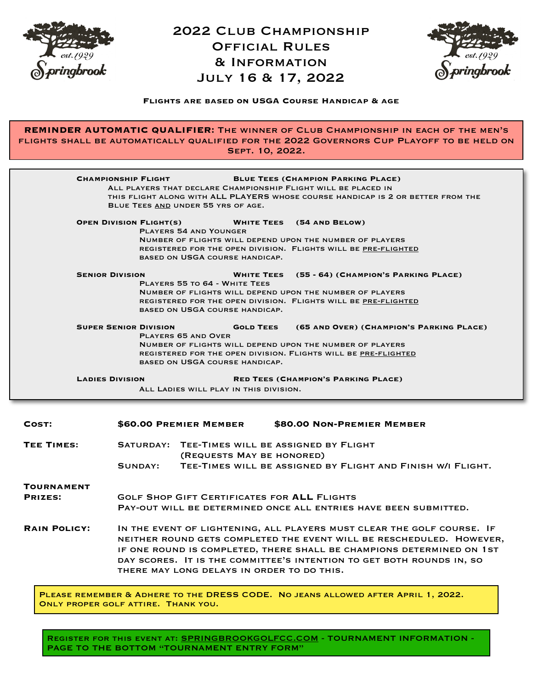

## 2022 Club Championship Official Rules & Information July 16 & 17, 2022



## **Flights are based on USGA Course Handicap & age**

**REMINDER AUTOMATIC QUALIFIER:** The winner of Club Championship in each of the men's flights shall be automatically qualified for the 2022 Governors Cup Playoff to be held on Sept. 10, 2022.

| <b>BLUE TEES (CHAMPION PARKING PLACE)</b><br><b>CHAMPIONSHIP FLIGHT</b><br>ALL PLAYERS THAT DECLARE CHAMPIONSHIP FLIGHT WILL BE PLACED IN<br>THIS FLIGHT ALONG WITH ALL PLAYERS WHOSE COURSE HANDICAP IS 2 OR BETTER FROM THE<br>BLUE TEES AND UNDER 55 YRS OF AGE.                                                                                                                                          |                                                                                                                                                                                                                                                                                                                                                |
|--------------------------------------------------------------------------------------------------------------------------------------------------------------------------------------------------------------------------------------------------------------------------------------------------------------------------------------------------------------------------------------------------------------|------------------------------------------------------------------------------------------------------------------------------------------------------------------------------------------------------------------------------------------------------------------------------------------------------------------------------------------------|
| <b>OPEN DIVISION FLIGHT(S)</b><br><b>WHITE TEES</b> (54 AND BELOW)<br><b>PLAYERS 54 AND YOUNGER</b><br>NUMBER OF FLIGHTS WILL DEPEND UPON THE NUMBER OF PLAYERS<br>REGISTERED FOR THE OPEN DIVISION. FLIGHTS WILL BE PRE-FLIGHTED<br>BASED ON USGA COURSE HANDICAP.                                                                                                                                          |                                                                                                                                                                                                                                                                                                                                                |
|                                                                                                                                                                                                                                                                                                                                                                                                              | <b>SENIOR DIVISION</b><br><b>WHITE TEES</b> (55 - 64) (CHAMPION'S PARKING PLACE)<br>PLAYERS 55 TO 64 - WHITE TEES<br>NUMBER OF FLIGHTS WILL DEPEND UPON THE NUMBER OF PLAYERS<br>REGISTERED FOR THE OPEN DIVISION. FLIGHTS WILL BE PRE-FLIGHTED<br>BASED ON USGA COURSE HANDICAP.                                                              |
| <b>SUPER SENIOR DIVISION</b><br><b>GOLD TEES</b><br>(65 AND OVER) (CHAMPION'S PARKING PLACE)<br><b>PLAYERS 65 AND OVER</b><br>NUMBER OF FLIGHTS WILL DEPEND UPON THE NUMBER OF PLAYERS<br>REGISTERED FOR THE OPEN DIVISION. FLIGHTS WILL BE PRE-FLIGHTED<br>BASED ON USGA COURSE HANDICAP.<br><b>LADIES DIVISION</b><br><b>RED TEES (CHAMPION'S PARKING PLACE)</b><br>ALL LADIES WILL PLAY IN THIS DIVISION. |                                                                                                                                                                                                                                                                                                                                                |
| COST:                                                                                                                                                                                                                                                                                                                                                                                                        | \$60.00 PREMIER MEMBER \$80.00 NON-PREMIER MEMBER                                                                                                                                                                                                                                                                                              |
| <b>TEE TIMES:</b>                                                                                                                                                                                                                                                                                                                                                                                            | SATURDAY: TEE-TIMES WILL BE ASSIGNED BY FLIGHT<br>(REQUESTS MAY BE HONORED)<br>TEE-TIMES WILL BE ASSIGNED BY FLIGHT AND FINISH W/I FLIGHT.<br>SUNDAY:                                                                                                                                                                                          |
| <b>TOURNAMENT</b><br><b>PRIZES:</b>                                                                                                                                                                                                                                                                                                                                                                          | <b>GOLF SHOP GIFT CERTIFICATES FOR ALL FLIGHTS</b><br>PAY-OUT WILL BE DETERMINED ONCE ALL ENTRIES HAVE BEEN SUBMITTED.                                                                                                                                                                                                                         |
| <b>RAIN POLICY:</b>                                                                                                                                                                                                                                                                                                                                                                                          | IN THE EVENT OF LIGHTENING, ALL PLAYERS MUST CLEAR THE GOLF COURSE. IF<br>NEITHER ROUND GETS COMPLETED THE EVENT WILL BE RESCHEDULED. HOWEVER,<br>IF ONE ROUND IS COMPLETED, THERE SHALL BE CHAMPIONS DETERMINED ON 1ST<br>DAY SCORES. IT IS THE COMMITTEE'S INTENTION TO GET BOTH ROUNDS IN, SO<br>THERE MAY LONG DELAYS IN ORDER TO DO THIS. |
| PLEASE REMEMBER & ADHERE TO THE DRESS CODE. NO JEANS ALLOWED AFTER APRIL 1, 2022.                                                                                                                                                                                                                                                                                                                            |                                                                                                                                                                                                                                                                                                                                                |

Only proper golf attire. Thank you.

REGISTER FOR THIS EVENT AT: [SPRINGBROOKGOLFCC.COM](http://SPRINGBROOKGOLFCC.COM) - TOURNAMENT INFORMATION -PAGE TO THE BOTTOM "TOURNAMENT ENTRY FORM"